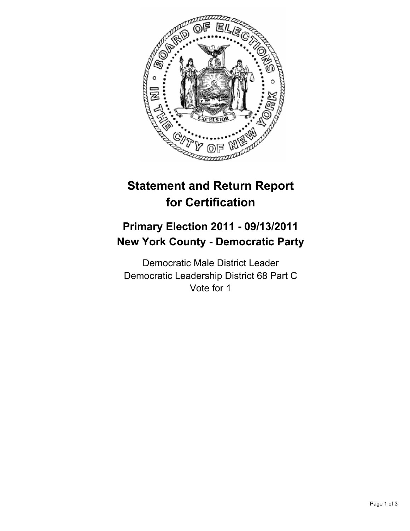

## **Statement and Return Report for Certification**

## **Primary Election 2011 - 09/13/2011 New York County - Democratic Party**

Democratic Male District Leader Democratic Leadership District 68 Part C Vote for 1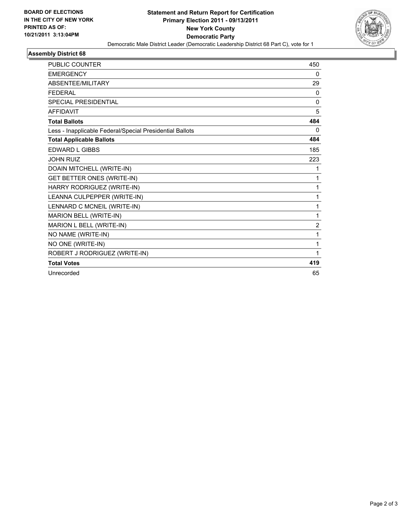

## **Assembly District 68**

| <b>PUBLIC COUNTER</b>                                    | 450            |
|----------------------------------------------------------|----------------|
| <b>EMERGENCY</b>                                         | 0              |
| <b>ABSENTEE/MILITARY</b>                                 | 29             |
| <b>FEDERAL</b>                                           | 0              |
| <b>SPECIAL PRESIDENTIAL</b>                              | $\mathbf{0}$   |
| <b>AFFIDAVIT</b>                                         | 5              |
| <b>Total Ballots</b>                                     | 484            |
| Less - Inapplicable Federal/Special Presidential Ballots | 0              |
| <b>Total Applicable Ballots</b>                          | 484            |
| <b>EDWARD L GIBBS</b>                                    | 185            |
| <b>JOHN RUIZ</b>                                         | 223            |
| DOAIN MITCHELL (WRITE-IN)                                | 1              |
| <b>GET BETTER ONES (WRITE-IN)</b>                        | 1              |
| HARRY RODRIGUEZ (WRITE-IN)                               | 1              |
| LEANNA CULPEPPER (WRITE-IN)                              | 1              |
| LENNARD C MCNEIL (WRITE-IN)                              | 1              |
| MARION BELL (WRITE-IN)                                   | 1              |
| MARION L BELL (WRITE-IN)                                 | $\overline{2}$ |
| NO NAME (WRITE-IN)                                       | 1              |
| NO ONE (WRITE-IN)                                        | 1              |
| ROBERT J RODRIGUEZ (WRITE-IN)                            | 1              |
| <b>Total Votes</b>                                       | 419            |
| Unrecorded                                               | 65             |